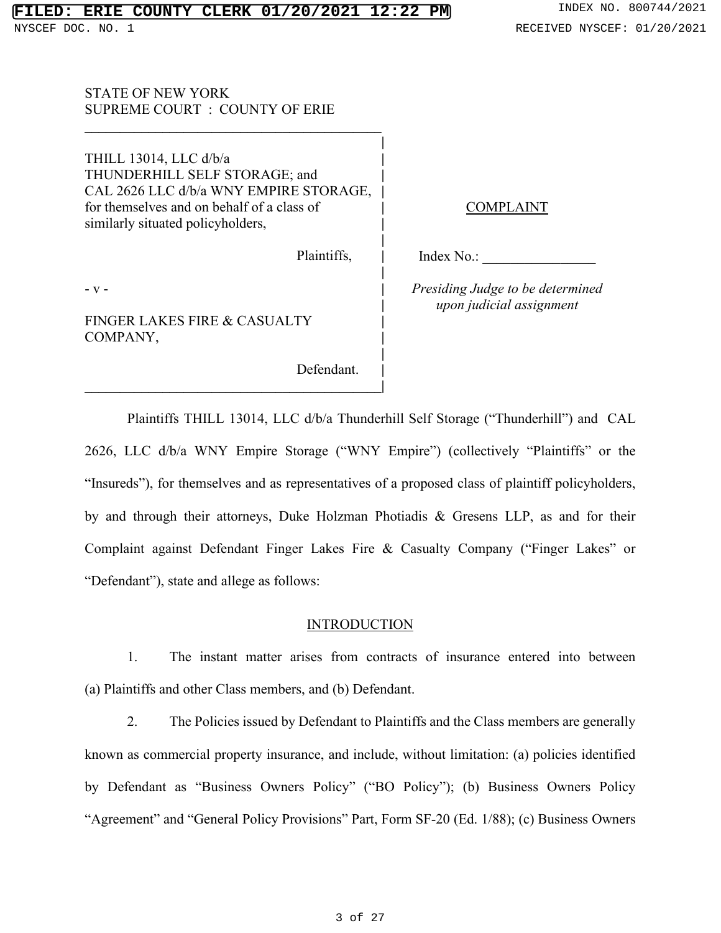STATE OF NEW YORK SUPREME COURT : COUNTY OF ERIE

THILL 13014, LLC d/b/a **|** THUNDERHILL SELF STORAGE; and **|** CAL 2626 LLC d/b/a WNY EMPIRE STORAGE, **|** for themselves and on behalf of a class of **|** similarly situated policyholders, **|**

**\_\_\_\_\_\_\_\_\_\_\_\_\_\_\_\_\_\_\_\_\_\_\_\_\_\_\_\_\_\_\_\_\_\_\_\_\_\_\_\_\_\_|**

**\_\_\_\_\_\_\_\_\_\_\_\_\_\_\_\_\_\_\_\_\_\_\_\_\_\_\_\_\_\_\_\_\_\_\_\_\_\_\_\_\_\_**

Plaintiffs, **|**

**|**

**|**

**|**

**|**

**|**

- v - **|**

FINGER LAKES FIRE & CASUALTY **|** COMPANY, **|**

Defendant. **|**

**COMPLAINT** 

Index No.:

*Presiding Judge to be determined upon judicial assignment*

Plaintiffs THILL 13014, LLC d/b/a Thunderhill Self Storage ("Thunderhill") and CAL 2626, LLC d/b/a WNY Empire Storage ("WNY Empire") (collectively "Plaintiffs" or the "Insureds"), for themselves and as representatives of a proposed class of plaintiff policyholders, by and through their attorneys, Duke Holzman Photiadis & Gresens LLP, as and for their Complaint against Defendant Finger Lakes Fire & Casualty Company ("Finger Lakes" or "Defendant"), state and allege as follows:

#### **INTRODUCTION**

1. The instant matter arises from contracts of insurance entered into between (a) Plaintiffs and other Class members, and (b) Defendant.

2. The Policies issued by Defendant to Plaintiffs and the Class members are generally known as commercial property insurance, and include, without limitation: (a) policies identified by Defendant as "Business Owners Policy" ("BO Policy"); (b) Business Owners Policy "Agreement" and "General Policy Provisions" Part, Form SF-20 (Ed. 1/88); (c) Business Owners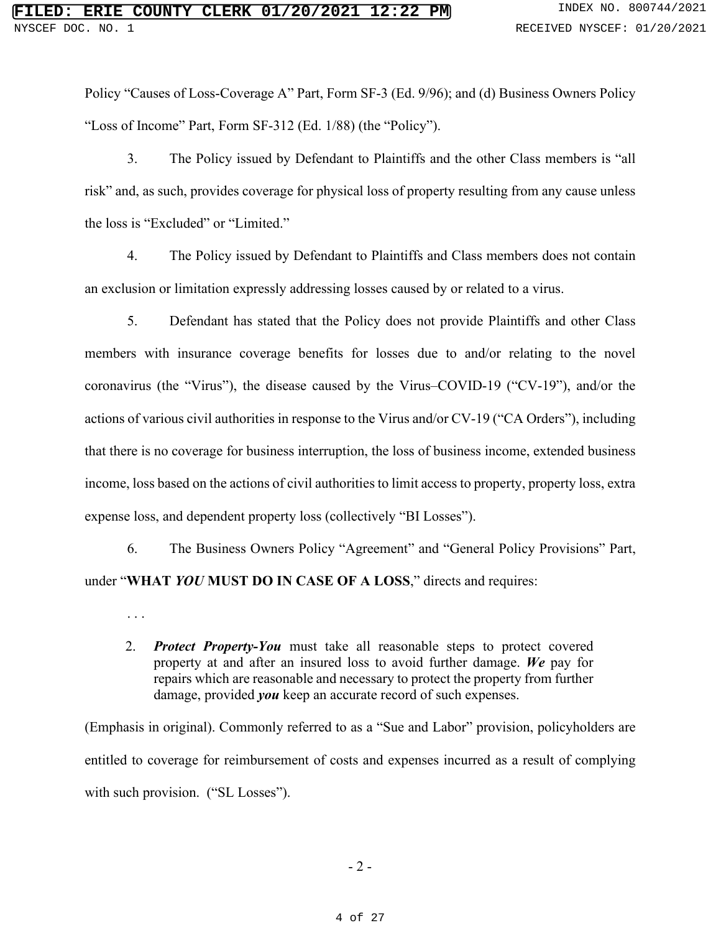Policy "Causes of Loss-Coverage A" Part, Form SF-3 (Ed. 9/96); and (d) Business Owners Policy "Loss of Income" Part, Form SF-312 (Ed. 1/88) (the "Policy").

3. The Policy issued by Defendant to Plaintiffs and the other Class members is "all risk" and, as such, provides coverage for physical loss of property resulting from any cause unless the loss is "Excluded" or "Limited."

4. The Policy issued by Defendant to Plaintiffs and Class members does not contain an exclusion or limitation expressly addressing losses caused by or related to a virus.

5. Defendant has stated that the Policy does not provide Plaintiffs and other Class members with insurance coverage benefits for losses due to and/or relating to the novel coronavirus (the "Virus"), the disease caused by the Virus–COVID-19 ("CV-19"), and/or the actions of various civil authorities in response to the Virus and/or CV-19 ("CA Orders"), including that there is no coverage for business interruption, the loss of business income, extended business income, loss based on the actions of civil authorities to limit access to property, property loss, extra expense loss, and dependent property loss (collectively "BI Losses").

6. The Business Owners Policy "Agreement" and "General Policy Provisions" Part, under "**WHAT** *YOU* **MUST DO IN CASE OF A LOSS**," directs and requires:

. . .

2. *Protect Property-You* must take all reasonable steps to protect covered property at and after an insured loss to avoid further damage. *We* pay for repairs which are reasonable and necessary to protect the property from further damage, provided *you* keep an accurate record of such expenses.

(Emphasis in original). Commonly referred to as a "Sue and Labor" provision, policyholders are entitled to coverage for reimbursement of costs and expenses incurred as a result of complying with such provision. ("SL Losses").

- 2 -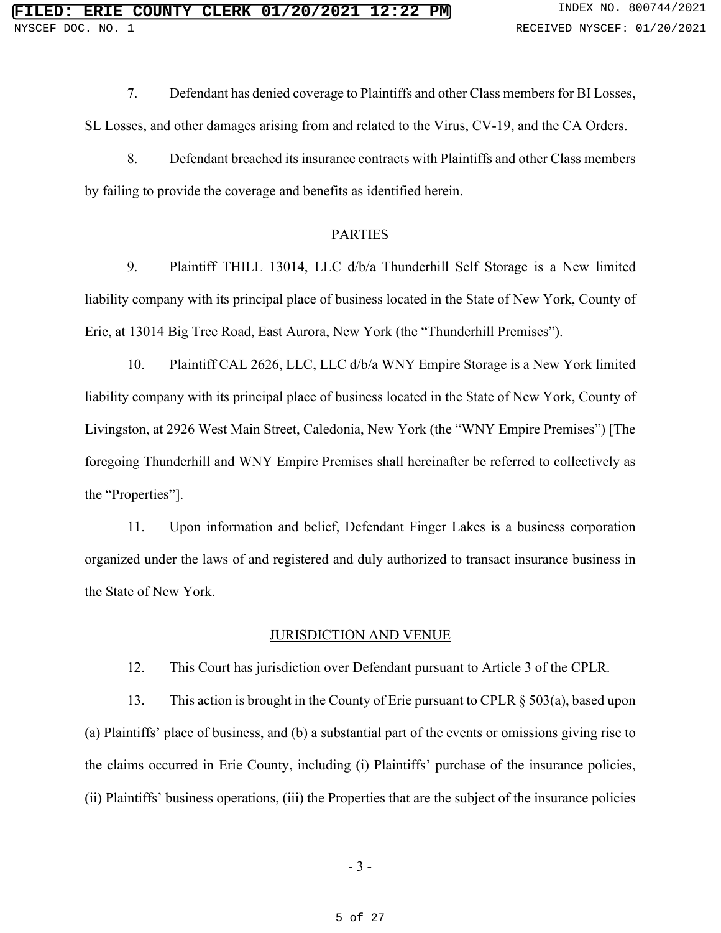7. Defendant has denied coverage to Plaintiffs and other Class members for BI Losses,

SL Losses, and other damages arising from and related to the Virus, CV-19, and the CA Orders.

8. Defendant breached its insurance contracts with Plaintiffs and other Class members by failing to provide the coverage and benefits as identified herein.

#### PARTIES

9. Plaintiff THILL 13014, LLC d/b/a Thunderhill Self Storage is a New limited liability company with its principal place of business located in the State of New York, County of Erie, at 13014 Big Tree Road, East Aurora, New York (the "Thunderhill Premises").

10. Plaintiff CAL 2626, LLC, LLC d/b/a WNY Empire Storage is a New York limited liability company with its principal place of business located in the State of New York, County of Livingston, at 2926 West Main Street, Caledonia, New York (the "WNY Empire Premises") [The foregoing Thunderhill and WNY Empire Premises shall hereinafter be referred to collectively as the "Properties"].

11. Upon information and belief, Defendant Finger Lakes is a business corporation organized under the laws of and registered and duly authorized to transact insurance business in the State of New York.

#### JURISDICTION AND VENUE

12. This Court has jurisdiction over Defendant pursuant to Article 3 of the CPLR.

13. This action is brought in the County of Erie pursuant to CPLR § 503(a), based upon (a) Plaintiffs' place of business, and (b) a substantial part of the events or omissions giving rise to the claims occurred in Erie County, including (i) Plaintiffs' purchase of the insurance policies, (ii) Plaintiffs' business operations, (iii) the Properties that are the subject of the insurance policies

- 3 -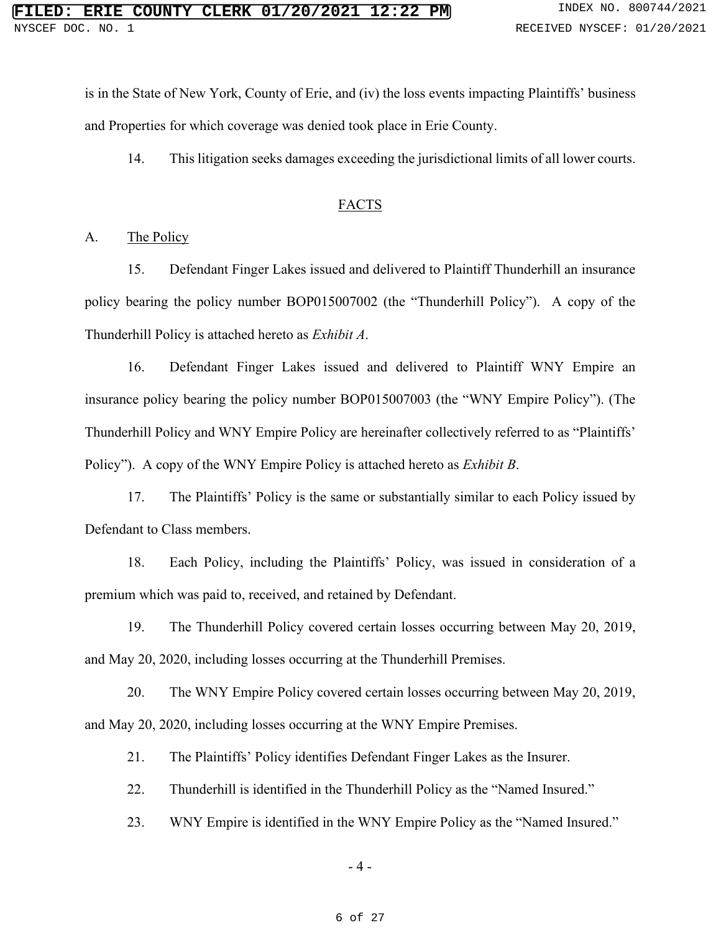is in the State of New York, County of Erie, and (iv) the loss events impacting Plaintiffs' business and Properties for which coverage was denied took place in Erie County.

14. This litigation seeks damages exceeding the jurisdictional limits of all lower courts.

#### FACTS

#### A. The Policy

15. Defendant Finger Lakes issued and delivered to Plaintiff Thunderhill an insurance policy bearing the policy number BOP015007002 (the "Thunderhill Policy"). A copy of the Thunderhill Policy is attached hereto as *Exhibit A*.

16. Defendant Finger Lakes issued and delivered to Plaintiff WNY Empire an insurance policy bearing the policy number BOP015007003 (the "WNY Empire Policy"). (The Thunderhill Policy and WNY Empire Policy are hereinafter collectively referred to as "Plaintiffs' Policy"). A copy of the WNY Empire Policy is attached hereto as *Exhibit B*.

17. The Plaintiffs' Policy is the same or substantially similar to each Policy issued by Defendant to Class members.

18. Each Policy, including the Plaintiffs' Policy, was issued in consideration of a premium which was paid to, received, and retained by Defendant.

19. The Thunderhill Policy covered certain losses occurring between May 20, 2019, and May 20, 2020, including losses occurring at the Thunderhill Premises.

20. The WNY Empire Policy covered certain losses occurring between May 20, 2019, and May 20, 2020, including losses occurring at the WNY Empire Premises.

21. The Plaintiffs' Policy identifies Defendant Finger Lakes as the Insurer.

22. Thunderhill is identified in the Thunderhill Policy as the "Named Insured."

23. WNY Empire is identified in the WNY Empire Policy as the "Named Insured."

- 4 -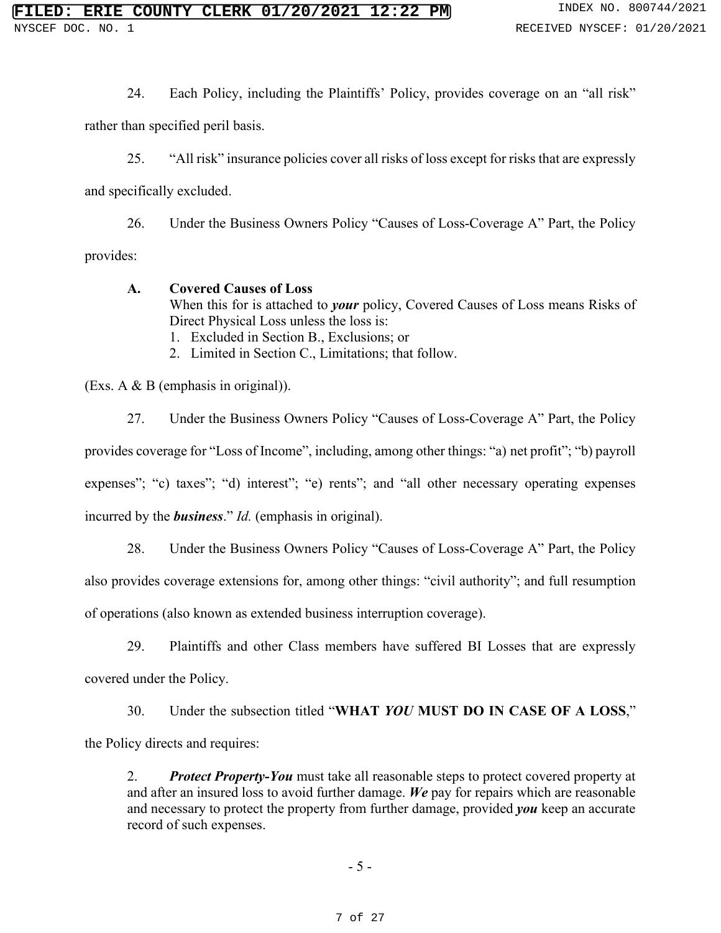24. Each Policy, including the Plaintiffs' Policy, provides coverage on an "all risk"

rather than specified peril basis.

25. "All risk" insurance policies cover all risks of loss except for risks that are expressly

and specifically excluded.

26. Under the Business Owners Policy "Causes of Loss-Coverage A" Part, the Policy

provides:

**A. Covered Causes of Loss** When this for is attached to *your* policy, Covered Causes of Loss means Risks of Direct Physical Loss unless the loss is: 1. Excluded in Section B., Exclusions; or 2. Limited in Section C., Limitations; that follow.

(Exs. A & B (emphasis in original)).

27. Under the Business Owners Policy "Causes of Loss-Coverage A" Part, the Policy provides coverage for "Loss of Income", including, among other things: "a) net profit"; "b) payroll expenses"; "c) taxes"; "d) interest"; "e) rents"; and "all other necessary operating expenses incurred by the *business*." *Id.* (emphasis in original).

28. Under the Business Owners Policy "Causes of Loss-Coverage A" Part, the Policy also provides coverage extensions for, among other things: "civil authority"; and full resumption of operations (also known as extended business interruption coverage).

29. Plaintiffs and other Class members have suffered BI Losses that are expressly covered under the Policy.

30. Under the subsection titled "**WHAT** *YOU* **MUST DO IN CASE OF A LOSS**," the Policy directs and requires:

2. *Protect Property-You* must take all reasonable steps to protect covered property at and after an insured loss to avoid further damage. *We* pay for repairs which are reasonable and necessary to protect the property from further damage, provided *you* keep an accurate record of such expenses.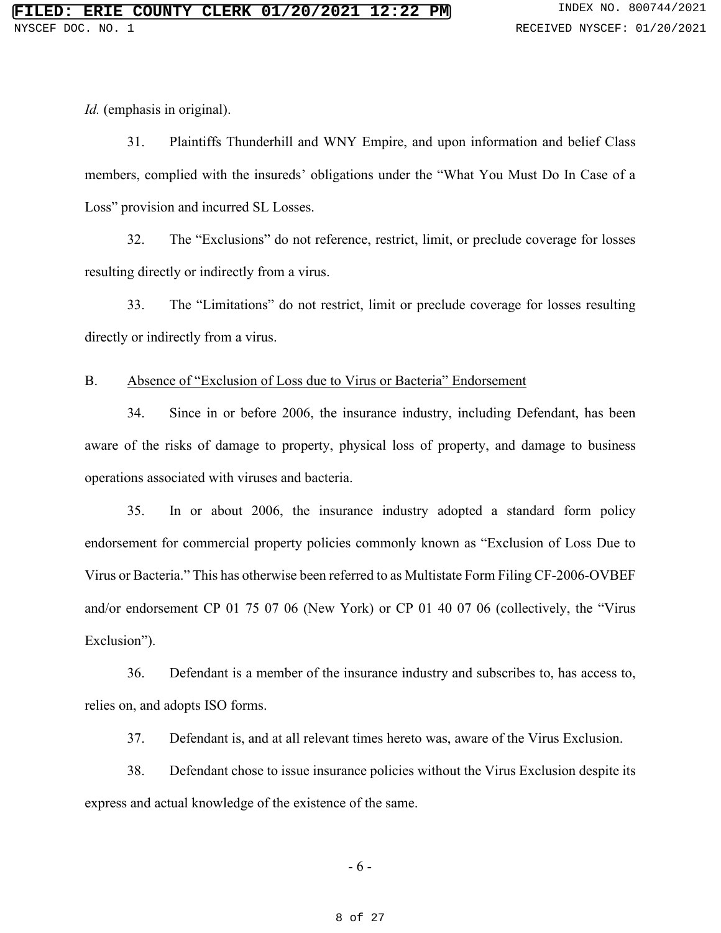*Id.* (emphasis in original).

31. Plaintiffs Thunderhill and WNY Empire, and upon information and belief Class members, complied with the insureds' obligations under the "What You Must Do In Case of a Loss" provision and incurred SL Losses.

32. The "Exclusions" do not reference, restrict, limit, or preclude coverage for losses resulting directly or indirectly from a virus.

33. The "Limitations" do not restrict, limit or preclude coverage for losses resulting directly or indirectly from a virus.

#### B. Absence of "Exclusion of Loss due to Virus or Bacteria" Endorsement

34. Since in or before 2006, the insurance industry, including Defendant, has been aware of the risks of damage to property, physical loss of property, and damage to business operations associated with viruses and bacteria.

35. In or about 2006, the insurance industry adopted a standard form policy endorsement for commercial property policies commonly known as "Exclusion of Loss Due to Virus or Bacteria." This has otherwise been referred to as Multistate Form Filing CF-2006-OVBEF and/or endorsement CP 01 75 07 06 (New York) or CP 01 40 07 06 (collectively, the "Virus Exclusion").

36. Defendant is a member of the insurance industry and subscribes to, has access to, relies on, and adopts ISO forms.

37. Defendant is, and at all relevant times hereto was, aware of the Virus Exclusion.

38. Defendant chose to issue insurance policies without the Virus Exclusion despite its express and actual knowledge of the existence of the same.

- 6 -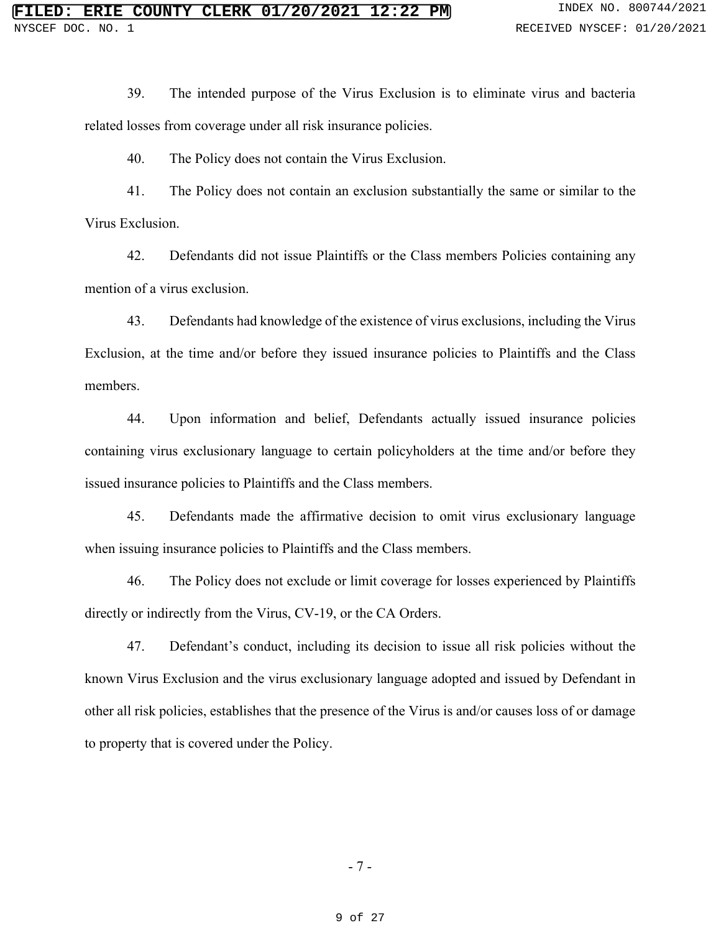39. The intended purpose of the Virus Exclusion is to eliminate virus and bacteria related losses from coverage under all risk insurance policies.

40. The Policy does not contain the Virus Exclusion.

41. The Policy does not contain an exclusion substantially the same or similar to the Virus Exclusion.

42. Defendants did not issue Plaintiffs or the Class members Policies containing any mention of a virus exclusion.

43. Defendants had knowledge of the existence of virus exclusions, including the Virus Exclusion, at the time and/or before they issued insurance policies to Plaintiffs and the Class members.

44. Upon information and belief, Defendants actually issued insurance policies containing virus exclusionary language to certain policyholders at the time and/or before they issued insurance policies to Plaintiffs and the Class members.

45. Defendants made the affirmative decision to omit virus exclusionary language when issuing insurance policies to Plaintiffs and the Class members.

46. The Policy does not exclude or limit coverage for losses experienced by Plaintiffs directly or indirectly from the Virus, CV-19, or the CA Orders.

47. Defendant's conduct, including its decision to issue all risk policies without the known Virus Exclusion and the virus exclusionary language adopted and issued by Defendant in other all risk policies, establishes that the presence of the Virus is and/or causes loss of or damage to property that is covered under the Policy.

- 7 -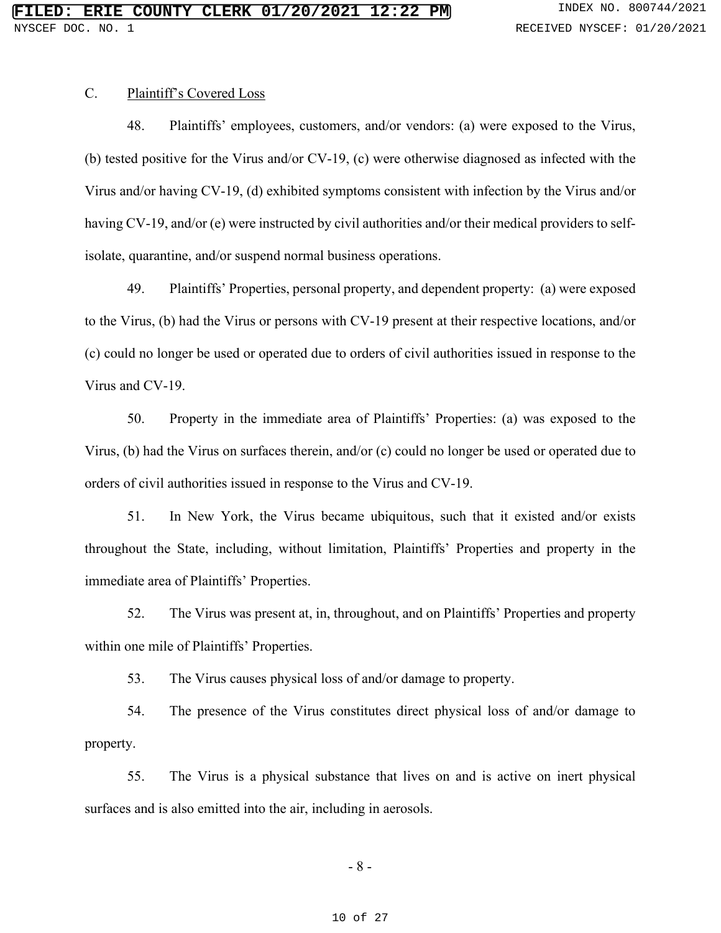# C. Plaintiff's Covered Loss

48. Plaintiffs' employees, customers, and/or vendors: (a) were exposed to the Virus, (b) tested positive for the Virus and/or CV-19, (c) were otherwise diagnosed as infected with the Virus and/or having CV-19, (d) exhibited symptoms consistent with infection by the Virus and/or having CV-19, and/or (e) were instructed by civil authorities and/or their medical providers to selfisolate, quarantine, and/or suspend normal business operations.

49. Plaintiffs' Properties, personal property, and dependent property: (a) were exposed to the Virus, (b) had the Virus or persons with CV-19 present at their respective locations, and/or (c) could no longer be used or operated due to orders of civil authorities issued in response to the Virus and CV-19.

50. Property in the immediate area of Plaintiffs' Properties: (a) was exposed to the Virus, (b) had the Virus on surfaces therein, and/or (c) could no longer be used or operated due to orders of civil authorities issued in response to the Virus and CV-19.

51. In New York, the Virus became ubiquitous, such that it existed and/or exists throughout the State, including, without limitation, Plaintiffs' Properties and property in the immediate area of Plaintiffs' Properties.

52. The Virus was present at, in, throughout, and on Plaintiffs' Properties and property within one mile of Plaintiffs' Properties.

53. The Virus causes physical loss of and/or damage to property.

54. The presence of the Virus constitutes direct physical loss of and/or damage to property.

55. The Virus is a physical substance that lives on and is active on inert physical surfaces and is also emitted into the air, including in aerosols.

- 8 -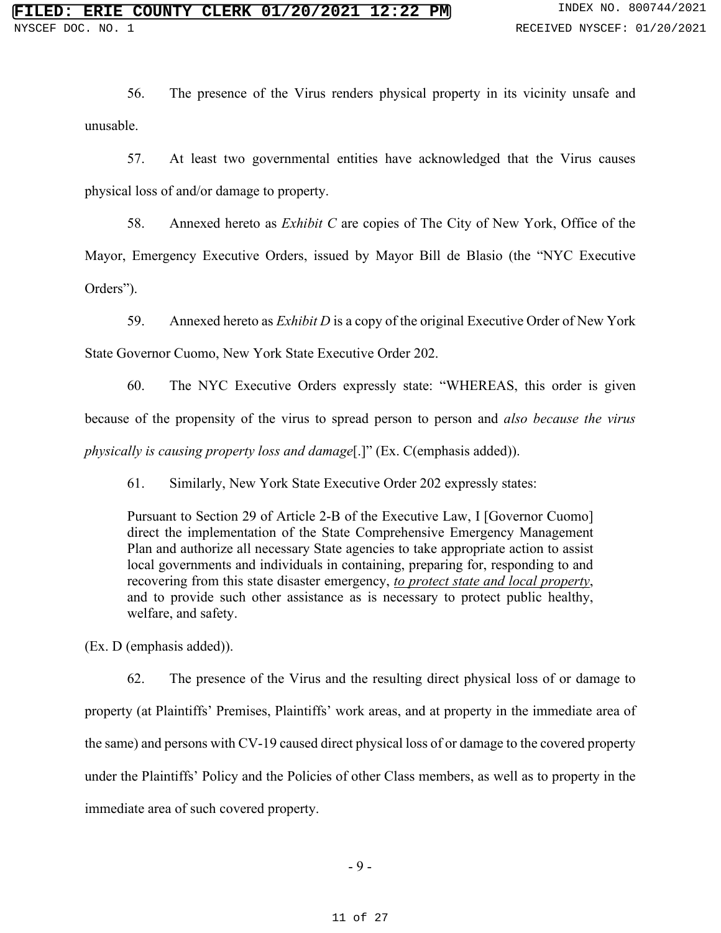56. The presence of the Virus renders physical property in its vicinity unsafe and unusable.

57. At least two governmental entities have acknowledged that the Virus causes physical loss of and/or damage to property.

58. Annexed hereto as *Exhibit C* are copies of The City of New York, Office of the Mayor, Emergency Executive Orders, issued by Mayor Bill de Blasio (the "NYC Executive Orders").

59. Annexed hereto as *Exhibit D* is a copy of the original Executive Order of New York State Governor Cuomo, New York State Executive Order 202.

60. The NYC Executive Orders expressly state: "WHEREAS, this order is given because of the propensity of the virus to spread person to person and *also because the virus physically is causing property loss and damage*[.]" (Ex. C(emphasis added)).

61. Similarly, New York State Executive Order 202 expressly states:

Pursuant to Section 29 of Article 2-B of the Executive Law, I [Governor Cuomo] direct the implementation of the State Comprehensive Emergency Management Plan and authorize all necessary State agencies to take appropriate action to assist local governments and individuals in containing, preparing for, responding to and recovering from this state disaster emergency, *to protect state and local property*, and to provide such other assistance as is necessary to protect public healthy, welfare, and safety.

(Ex. D (emphasis added)).

62. The presence of the Virus and the resulting direct physical loss of or damage to property (at Plaintiffs' Premises, Plaintiffs' work areas, and at property in the immediate area of the same) and persons with CV-19 caused direct physical loss of or damage to the covered property under the Plaintiffs' Policy and the Policies of other Class members, as well as to property in the immediate area of such covered property.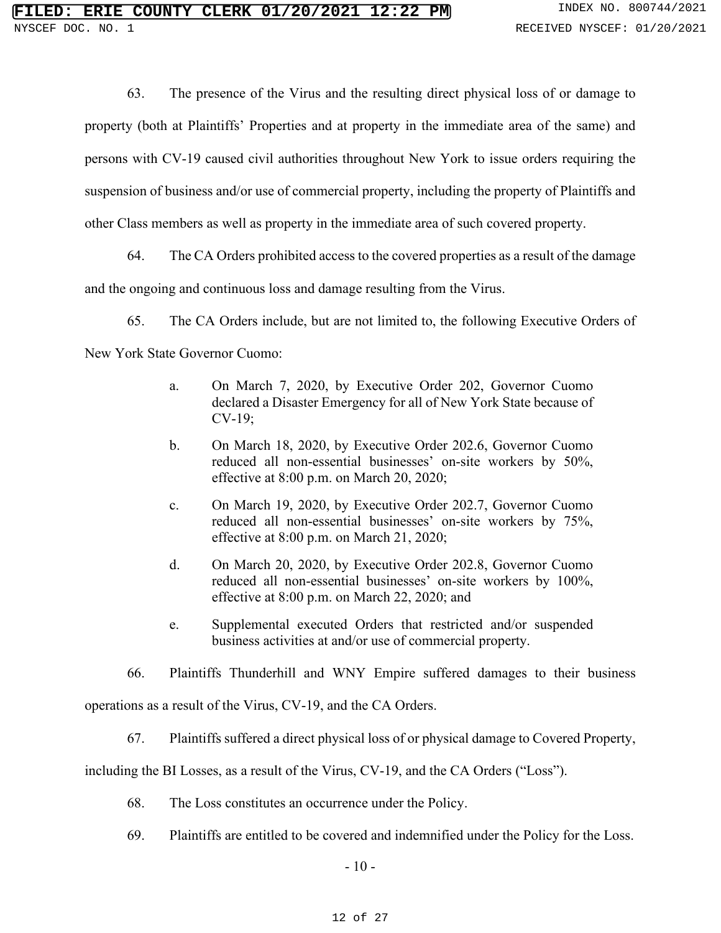63. The presence of the Virus and the resulting direct physical loss of or damage to property (both at Plaintiffs' Properties and at property in the immediate area of the same) and persons with CV-19 caused civil authorities throughout New York to issue orders requiring the suspension of business and/or use of commercial property, including the property of Plaintiffs and other Class members as well as property in the immediate area of such covered property.

64. The CA Orders prohibited access to the covered properties as a result of the damage

and the ongoing and continuous loss and damage resulting from the Virus.

65. The CA Orders include, but are not limited to, the following Executive Orders of

New York State Governor Cuomo:

- a. On March 7, 2020, by Executive Order 202, Governor Cuomo declared a Disaster Emergency for all of New York State because of CV-19;
- b. On March 18, 2020, by Executive Order 202.6, Governor Cuomo reduced all non-essential businesses' on-site workers by 50%, effective at 8:00 p.m. on March 20, 2020;
- c. On March 19, 2020, by Executive Order 202.7, Governor Cuomo reduced all non-essential businesses' on-site workers by 75%, effective at 8:00 p.m. on March 21, 2020;
- d. On March 20, 2020, by Executive Order 202.8, Governor Cuomo reduced all non-essential businesses' on-site workers by 100%, effective at 8:00 p.m. on March 22, 2020; and
- e. Supplemental executed Orders that restricted and/or suspended business activities at and/or use of commercial property.
- 66. Plaintiffs Thunderhill and WNY Empire suffered damages to their business

operations as a result of the Virus, CV-19, and the CA Orders.

67. Plaintiffs suffered a direct physical loss of or physical damage to Covered Property,

including the BI Losses, as a result of the Virus, CV-19, and the CA Orders ("Loss").

- 68. The Loss constitutes an occurrence under the Policy.
- 69. Plaintiffs are entitled to be covered and indemnified under the Policy for the Loss.

 $-10-$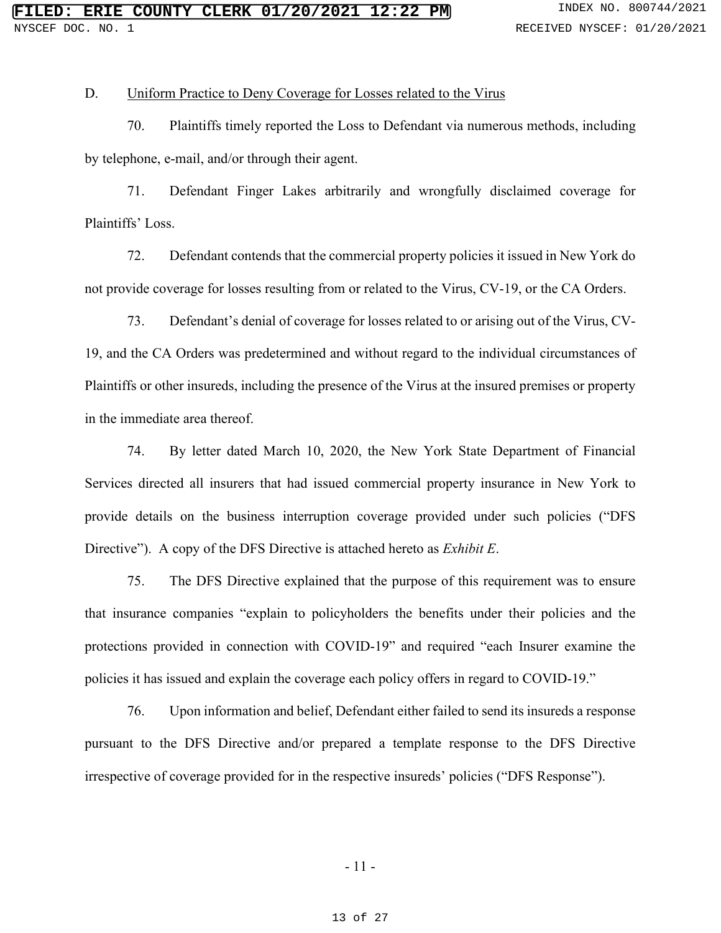### D. Uniform Practice to Deny Coverage for Losses related to the Virus

70. Plaintiffs timely reported the Loss to Defendant via numerous methods, including by telephone, e-mail, and/or through their agent.

71. Defendant Finger Lakes arbitrarily and wrongfully disclaimed coverage for Plaintiffs' Loss.

72. Defendant contends that the commercial property policies it issued in New York do not provide coverage for losses resulting from or related to the Virus, CV-19, or the CA Orders.

73. Defendant's denial of coverage for losses related to or arising out of the Virus, CV-19, and the CA Orders was predetermined and without regard to the individual circumstances of Plaintiffs or other insureds, including the presence of the Virus at the insured premises or property in the immediate area thereof.

74. By letter dated March 10, 2020, the New York State Department of Financial Services directed all insurers that had issued commercial property insurance in New York to provide details on the business interruption coverage provided under such policies ("DFS Directive"). A copy of the DFS Directive is attached hereto as *Exhibit E*.

75. The DFS Directive explained that the purpose of this requirement was to ensure that insurance companies "explain to policyholders the benefits under their policies and the protections provided in connection with COVID-19" and required "each Insurer examine the policies it has issued and explain the coverage each policy offers in regard to COVID-19."

76. Upon information and belief, Defendant either failed to send its insureds a response pursuant to the DFS Directive and/or prepared a template response to the DFS Directive irrespective of coverage provided for in the respective insureds' policies ("DFS Response").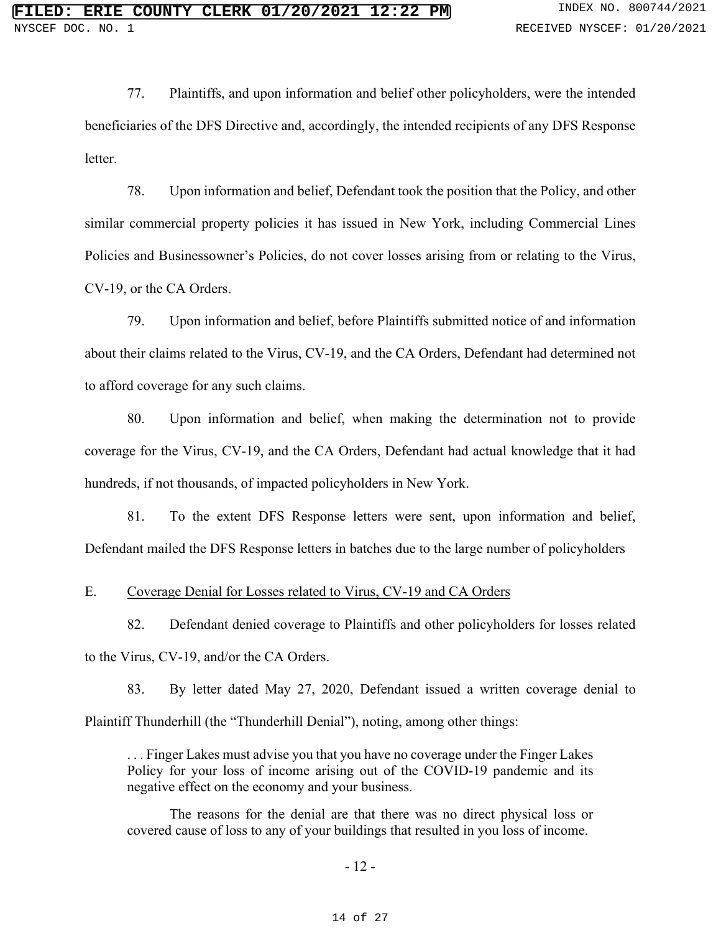77. Plaintiffs, and upon information and belief other policyholders, were the intended beneficiaries of the DFS Directive and, accordingly, the intended recipients of any DFS Response letter.

78. Upon information and belief, Defendant took the position that the Policy, and other similar commercial property policies it has issued in New York, including Commercial Lines Policies and Businessowner's Policies, do not cover losses arising from or relating to the Virus, CV-19, or the CA Orders.

79. Upon information and belief, before Plaintiffs submitted notice of and information about their claims related to the Virus, CV-19, and the CA Orders, Defendant had determined not to afford coverage for any such claims.

80. Upon information and belief, when making the determination not to provide coverage for the Virus, CV-19, and the CA Orders, Defendant had actual knowledge that it had hundreds, if not thousands, of impacted policyholders in New York.

81. To the extent DFS Response letters were sent, upon information and belief, Defendant mailed the DFS Response letters in batches due to the large number of policyholders

#### E. Coverage Denial for Losses related to Virus, CV-19 and CA Orders

82. Defendant denied coverage to Plaintiffs and other policyholders for losses related to the Virus, CV-19, and/or the CA Orders.

83. By letter dated May 27, 2020, Defendant issued a written coverage denial to Plaintiff Thunderhill (the "Thunderhill Denial"), noting, among other things:

. . . Finger Lakes must advise you that you have no coverage under the Finger Lakes Policy for your loss of income arising out of the COVID-19 pandemic and its negative effect on the economy and your business.

The reasons for the denial are that there was no direct physical loss or covered cause of loss to any of your buildings that resulted in you loss of income.

#### - 12 -

#### 14 of 27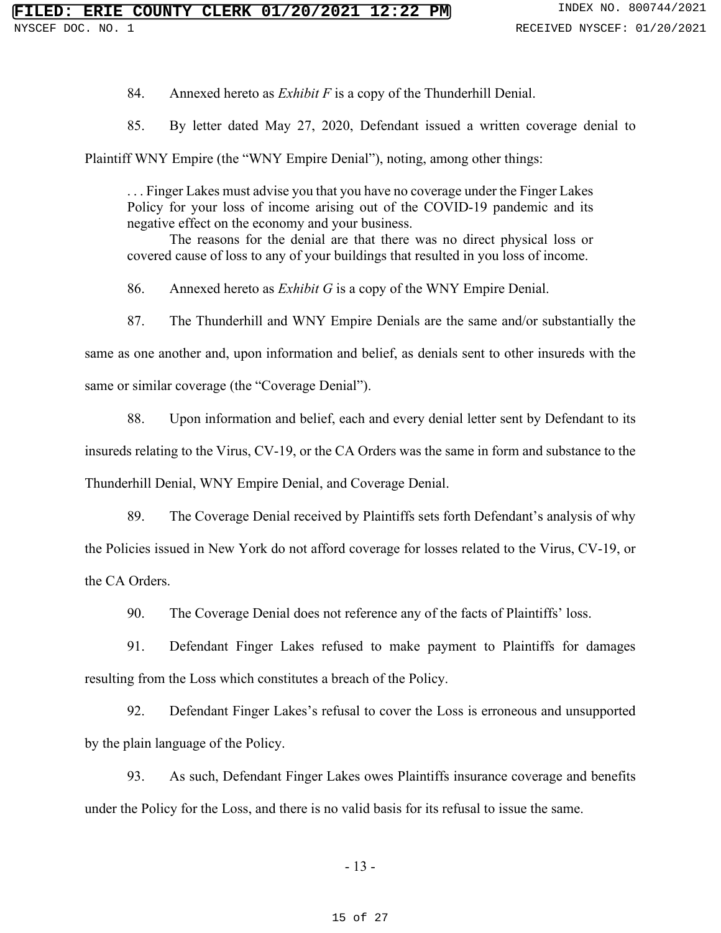84. Annexed hereto as *Exhibit F* is a copy of the Thunderhill Denial.

85. By letter dated May 27, 2020, Defendant issued a written coverage denial to

Plaintiff WNY Empire (the "WNY Empire Denial"), noting, among other things:

. . . Finger Lakes must advise you that you have no coverage under the Finger Lakes Policy for your loss of income arising out of the COVID-19 pandemic and its negative effect on the economy and your business.

The reasons for the denial are that there was no direct physical loss or covered cause of loss to any of your buildings that resulted in you loss of income.

86. Annexed hereto as *Exhibit G* is a copy of the WNY Empire Denial.

87. The Thunderhill and WNY Empire Denials are the same and/or substantially the same as one another and, upon information and belief, as denials sent to other insureds with the

same or similar coverage (the "Coverage Denial").

88. Upon information and belief, each and every denial letter sent by Defendant to its insureds relating to the Virus, CV-19, or the CA Orders was the same in form and substance to the Thunderhill Denial, WNY Empire Denial, and Coverage Denial.

89. The Coverage Denial received by Plaintiffs sets forth Defendant's analysis of why the Policies issued in New York do not afford coverage for losses related to the Virus, CV-19, or the CA Orders.

90. The Coverage Denial does not reference any of the facts of Plaintiffs' loss.

91. Defendant Finger Lakes refused to make payment to Plaintiffs for damages resulting from the Loss which constitutes a breach of the Policy.

92. Defendant Finger Lakes's refusal to cover the Loss is erroneous and unsupported by the plain language of the Policy.

93. As such, Defendant Finger Lakes owes Plaintiffs insurance coverage and benefits under the Policy for the Loss, and there is no valid basis for its refusal to issue the same.

- 13 -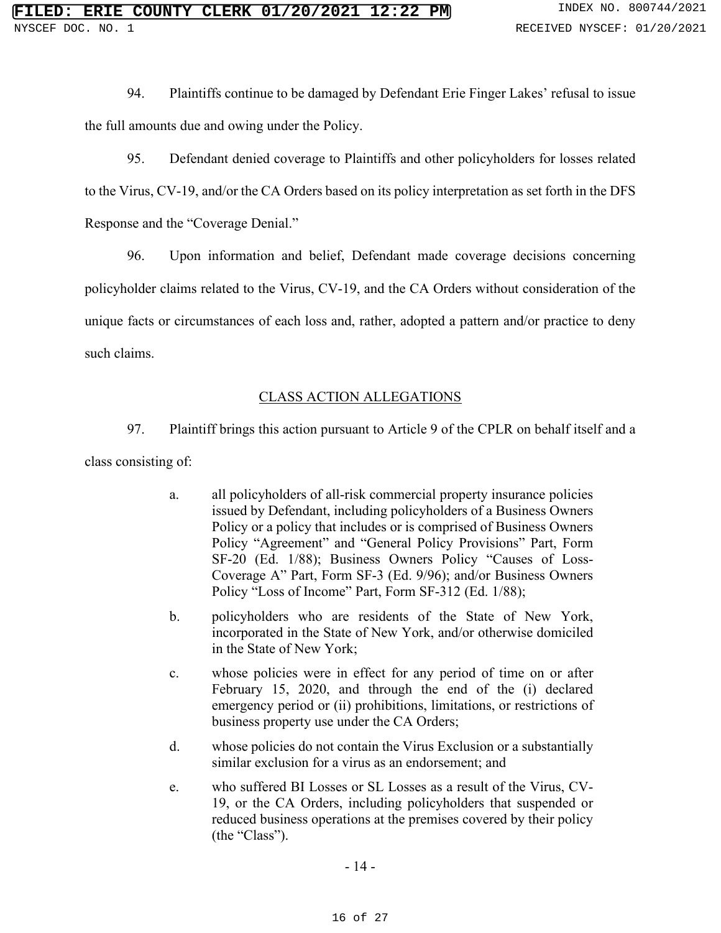94. Plaintiffs continue to be damaged by Defendant Erie Finger Lakes' refusal to issue the full amounts due and owing under the Policy.

95. Defendant denied coverage to Plaintiffs and other policyholders for losses related to the Virus, CV-19, and/or the CA Orders based on its policy interpretation as set forth in the DFS Response and the "Coverage Denial."

96. Upon information and belief, Defendant made coverage decisions concerning policyholder claims related to the Virus, CV-19, and the CA Orders without consideration of the unique facts or circumstances of each loss and, rather, adopted a pattern and/or practice to deny such claims.

# CLASS ACTION ALLEGATIONS

97. Plaintiff brings this action pursuant to Article 9 of the CPLR on behalf itself and a class consisting of:

- a. all policyholders of all-risk commercial property insurance policies issued by Defendant, including policyholders of a Business Owners Policy or a policy that includes or is comprised of Business Owners Policy "Agreement" and "General Policy Provisions" Part, Form SF-20 (Ed. 1/88); Business Owners Policy "Causes of Loss-Coverage A" Part, Form SF-3 (Ed. 9/96); and/or Business Owners Policy "Loss of Income" Part, Form SF-312 (Ed. 1/88);
- b. policyholders who are residents of the State of New York, incorporated in the State of New York, and/or otherwise domiciled in the State of New York;
- c. whose policies were in effect for any period of time on or after February 15, 2020, and through the end of the (i) declared emergency period or (ii) prohibitions, limitations, or restrictions of business property use under the CA Orders;
- d. whose policies do not contain the Virus Exclusion or a substantially similar exclusion for a virus as an endorsement; and
- e. who suffered BI Losses or SL Losses as a result of the Virus, CV-19, or the CA Orders, including policyholders that suspended or reduced business operations at the premises covered by their policy (the "Class").

- 14 -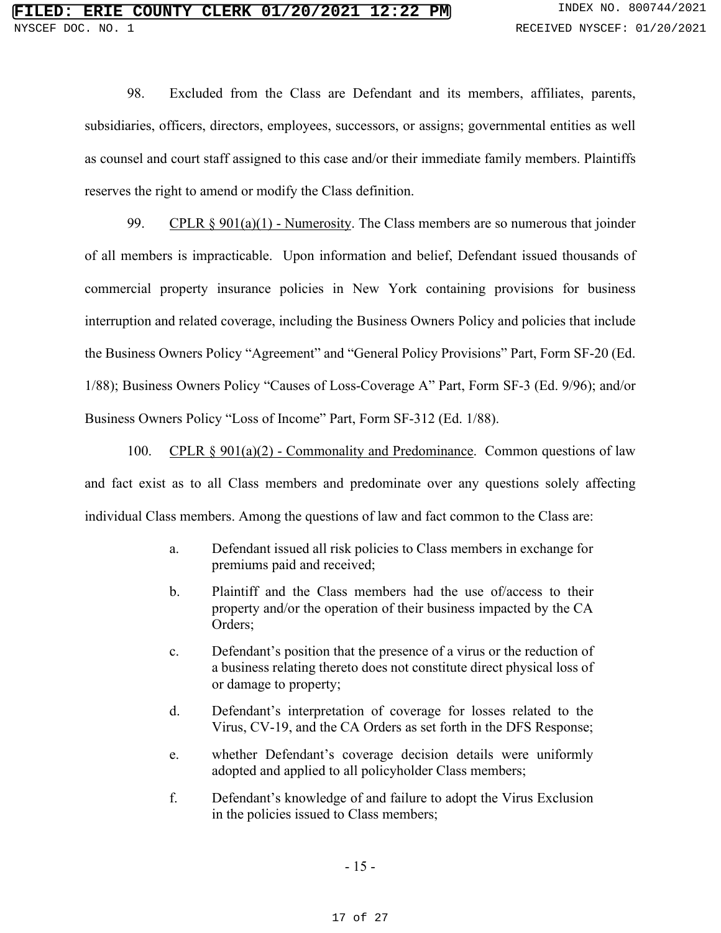98. Excluded from the Class are Defendant and its members, affiliates, parents, subsidiaries, officers, directors, employees, successors, or assigns; governmental entities as well as counsel and court staff assigned to this case and/or their immediate family members. Plaintiffs reserves the right to amend or modify the Class definition.

99. CPLR  $\S 901(a)(1)$  - Numerosity. The Class members are so numerous that joinder of all members is impracticable. Upon information and belief, Defendant issued thousands of commercial property insurance policies in New York containing provisions for business interruption and related coverage, including the Business Owners Policy and policies that include the Business Owners Policy "Agreement" and "General Policy Provisions" Part, Form SF-20 (Ed. 1/88); Business Owners Policy "Causes of Loss-Coverage A" Part, Form SF-3 (Ed. 9/96); and/or Business Owners Policy "Loss of Income" Part, Form SF-312 (Ed. 1/88).

100. CPLR § 901(a)(2) - Commonality and Predominance. Common questions of law and fact exist as to all Class members and predominate over any questions solely affecting individual Class members. Among the questions of law and fact common to the Class are:

- a. Defendant issued all risk policies to Class members in exchange for premiums paid and received;
- b. Plaintiff and the Class members had the use of/access to their property and/or the operation of their business impacted by the CA Orders;
- c. Defendant's position that the presence of a virus or the reduction of a business relating thereto does not constitute direct physical loss of or damage to property;
- d. Defendant's interpretation of coverage for losses related to the Virus, CV-19, and the CA Orders as set forth in the DFS Response;
- e. whether Defendant's coverage decision details were uniformly adopted and applied to all policyholder Class members;
- f. Defendant's knowledge of and failure to adopt the Virus Exclusion in the policies issued to Class members;

- 15 -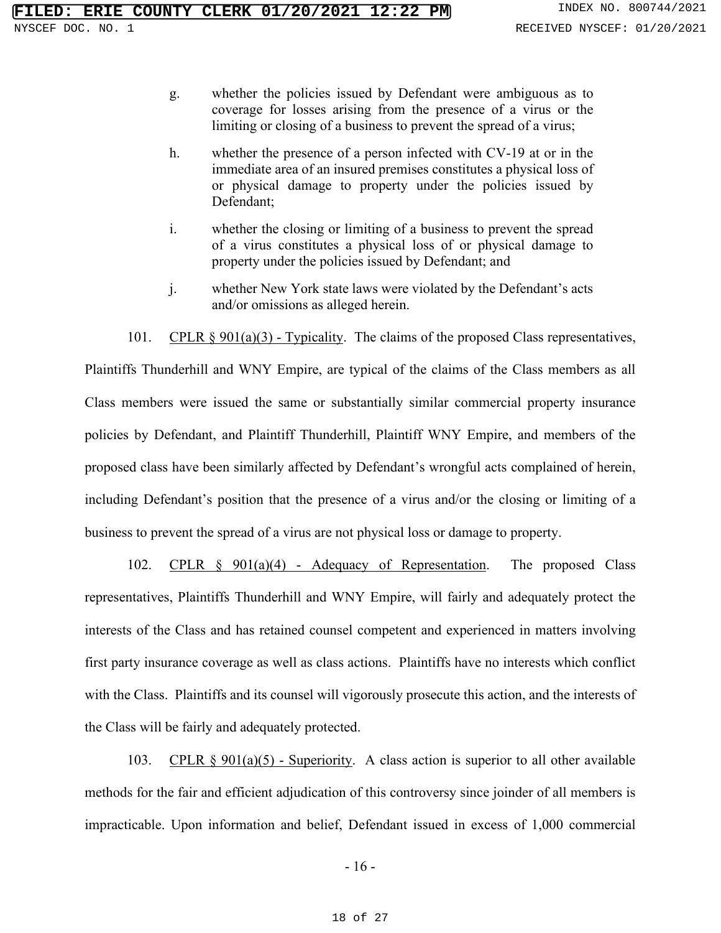- g. whether the policies issued by Defendant were ambiguous as to coverage for losses arising from the presence of a virus or the limiting or closing of a business to prevent the spread of a virus;
- h. whether the presence of a person infected with CV-19 at or in the immediate area of an insured premises constitutes a physical loss of or physical damage to property under the policies issued by Defendant;
- i. whether the closing or limiting of a business to prevent the spread of a virus constitutes a physical loss of or physical damage to property under the policies issued by Defendant; and
- j. whether New York state laws were violated by the Defendant's acts and/or omissions as alleged herein.

101. CPLR  $\S$  901(a)(3) - Typicality. The claims of the proposed Class representatives, Plaintiffs Thunderhill and WNY Empire, are typical of the claims of the Class members as all Class members were issued the same or substantially similar commercial property insurance policies by Defendant, and Plaintiff Thunderhill, Plaintiff WNY Empire, and members of the proposed class have been similarly affected by Defendant's wrongful acts complained of herein, including Defendant's position that the presence of a virus and/or the closing or limiting of a business to prevent the spread of a virus are not physical loss or damage to property.

102. CPLR § 901(a)(4) - Adequacy of Representation. The proposed Class representatives, Plaintiffs Thunderhill and WNY Empire, will fairly and adequately protect the interests of the Class and has retained counsel competent and experienced in matters involving first party insurance coverage as well as class actions. Plaintiffs have no interests which conflict with the Class. Plaintiffs and its counsel will vigorously prosecute this action, and the interests of the Class will be fairly and adequately protected.

103. CPLR  $\S 901(a)(5)$  - Superiority. A class action is superior to all other available methods for the fair and efficient adjudication of this controversy since joinder of all members is impracticable. Upon information and belief, Defendant issued in excess of 1,000 commercial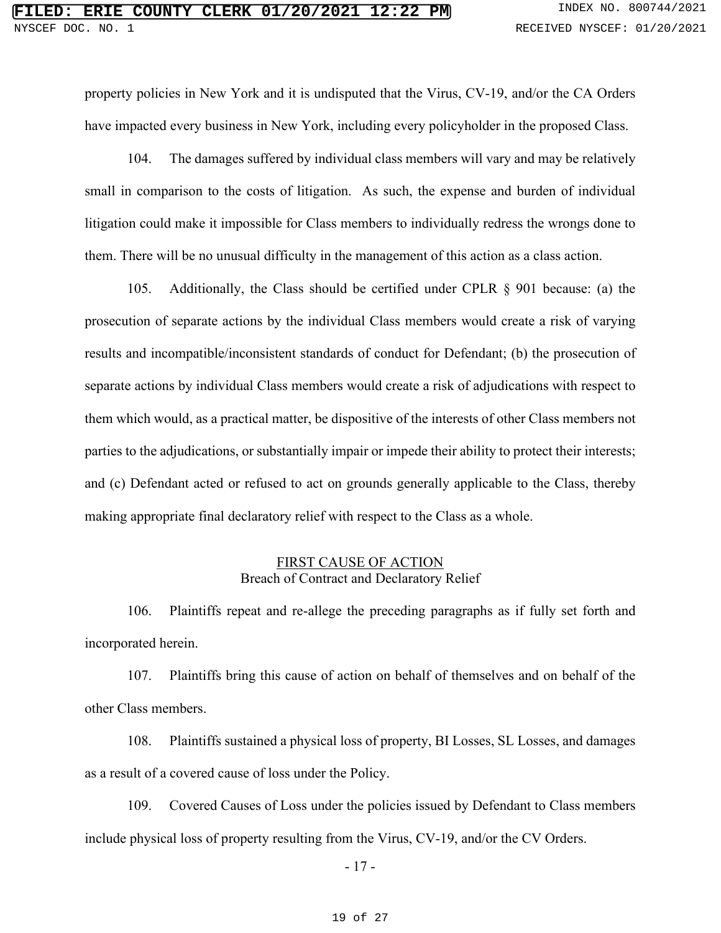property policies in New York and it is undisputed that the Virus, CV-19, and/or the CA Orders have impacted every business in New York, including every policyholder in the proposed Class.

104. The damages suffered by individual class members will vary and may be relatively small in comparison to the costs of litigation. As such, the expense and burden of individual litigation could make it impossible for Class members to individually redress the wrongs done to them. There will be no unusual difficulty in the management of this action as a class action.

105. Additionally, the Class should be certified under CPLR § 901 because: (a) the prosecution of separate actions by the individual Class members would create a risk of varying results and incompatible/inconsistent standards of conduct for Defendant; (b) the prosecution of separate actions by individual Class members would create a risk of adjudications with respect to them which would, as a practical matter, be dispositive of the interests of other Class members not parties to the adjudications, or substantially impair or impede their ability to protect their interests; and (c) Defendant acted or refused to act on grounds generally applicable to the Class, thereby making appropriate final declaratory relief with respect to the Class as a whole.

# FIRST CAUSE OF ACTION Breach of Contract and Declaratory Relief

106. Plaintiffs repeat and re-allege the preceding paragraphs as if fully set forth and incorporated herein.

107. Plaintiffs bring this cause of action on behalf of themselves and on behalf of the other Class members.

108. Plaintiffs sustained a physical loss of property, BI Losses, SL Losses, and damages as a result of a covered cause of loss under the Policy.

109. Covered Causes of Loss under the policies issued by Defendant to Class members include physical loss of property resulting from the Virus, CV-19, and/or the CV Orders.

- 17 -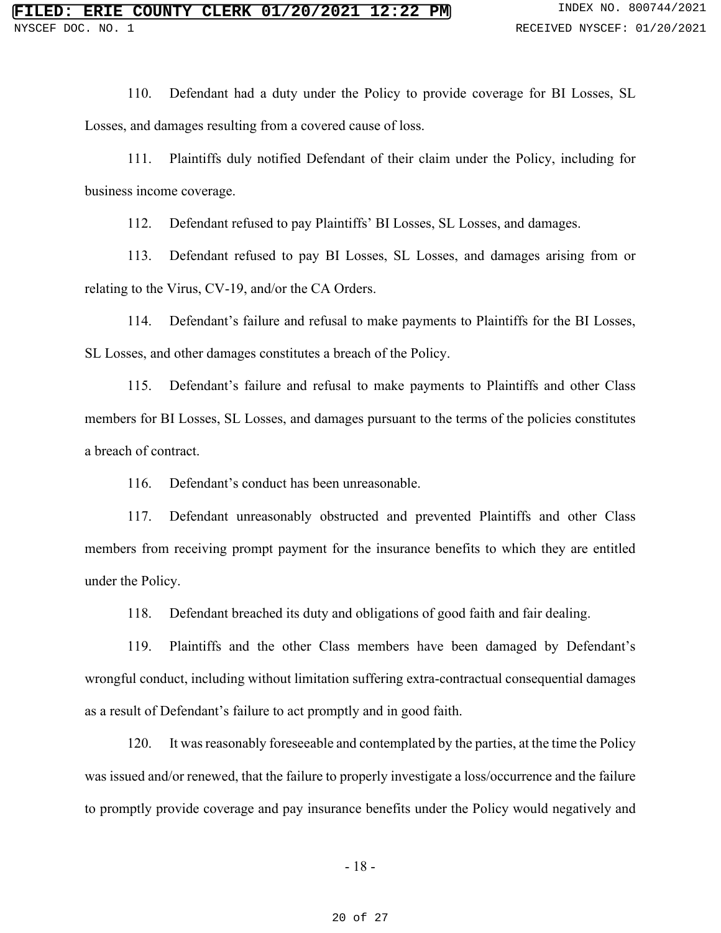110. Defendant had a duty under the Policy to provide coverage for BI Losses, SL Losses, and damages resulting from a covered cause of loss.

111. Plaintiffs duly notified Defendant of their claim under the Policy, including for business income coverage.

112. Defendant refused to pay Plaintiffs' BI Losses, SL Losses, and damages.

113. Defendant refused to pay BI Losses, SL Losses, and damages arising from or relating to the Virus, CV-19, and/or the CA Orders.

114. Defendant's failure and refusal to make payments to Plaintiffs for the BI Losses, SL Losses, and other damages constitutes a breach of the Policy.

115. Defendant's failure and refusal to make payments to Plaintiffs and other Class members for BI Losses, SL Losses, and damages pursuant to the terms of the policies constitutes a breach of contract.

116. Defendant's conduct has been unreasonable.

117. Defendant unreasonably obstructed and prevented Plaintiffs and other Class members from receiving prompt payment for the insurance benefits to which they are entitled under the Policy.

118. Defendant breached its duty and obligations of good faith and fair dealing.

119. Plaintiffs and the other Class members have been damaged by Defendant's wrongful conduct, including without limitation suffering extra-contractual consequential damages as a result of Defendant's failure to act promptly and in good faith.

120. It was reasonably foreseeable and contemplated by the parties, at the time the Policy was issued and/or renewed, that the failure to properly investigate a loss/occurrence and the failure to promptly provide coverage and pay insurance benefits under the Policy would negatively and

20 of 27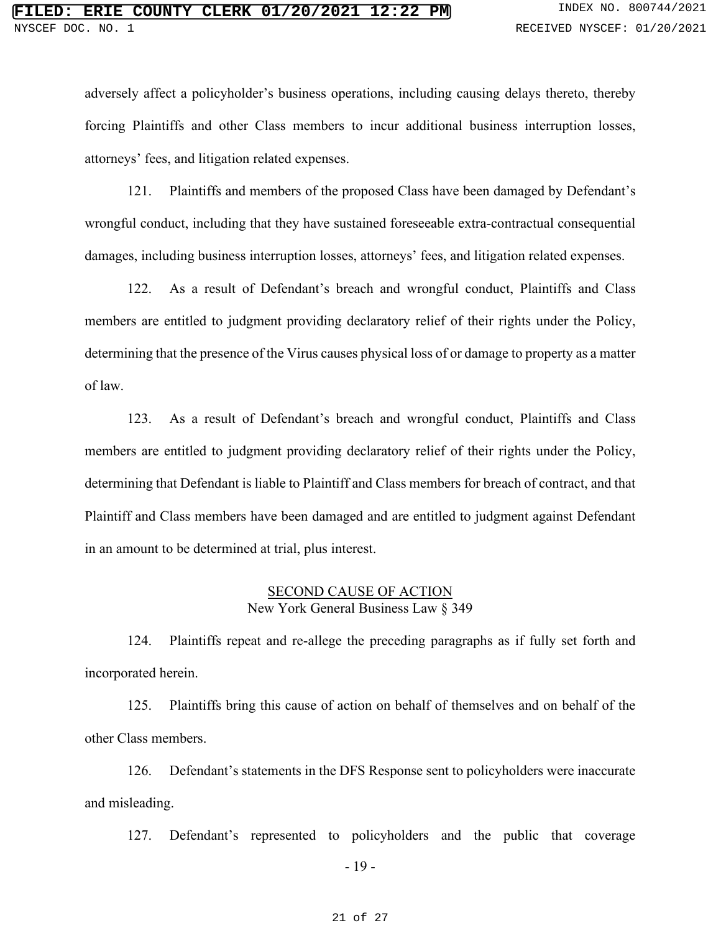adversely affect a policyholder's business operations, including causing delays thereto, thereby forcing Plaintiffs and other Class members to incur additional business interruption losses, attorneys' fees, and litigation related expenses.

121. Plaintiffs and members of the proposed Class have been damaged by Defendant's wrongful conduct, including that they have sustained foreseeable extra-contractual consequential damages, including business interruption losses, attorneys' fees, and litigation related expenses.

122. As a result of Defendant's breach and wrongful conduct, Plaintiffs and Class members are entitled to judgment providing declaratory relief of their rights under the Policy, determining that the presence of the Virus causes physical loss of or damage to property as a matter of law.

123. As a result of Defendant's breach and wrongful conduct, Plaintiffs and Class members are entitled to judgment providing declaratory relief of their rights under the Policy, determining that Defendant is liable to Plaintiff and Class members for breach of contract, and that Plaintiff and Class members have been damaged and are entitled to judgment against Defendant in an amount to be determined at trial, plus interest.

# SECOND CAUSE OF ACTION New York General Business Law § 349

124. Plaintiffs repeat and re-allege the preceding paragraphs as if fully set forth and incorporated herein.

125. Plaintiffs bring this cause of action on behalf of themselves and on behalf of the other Class members.

126. Defendant's statements in the DFS Response sent to policyholders were inaccurate and misleading.

127. Defendant's represented to policyholders and the public that coverage

- 19 -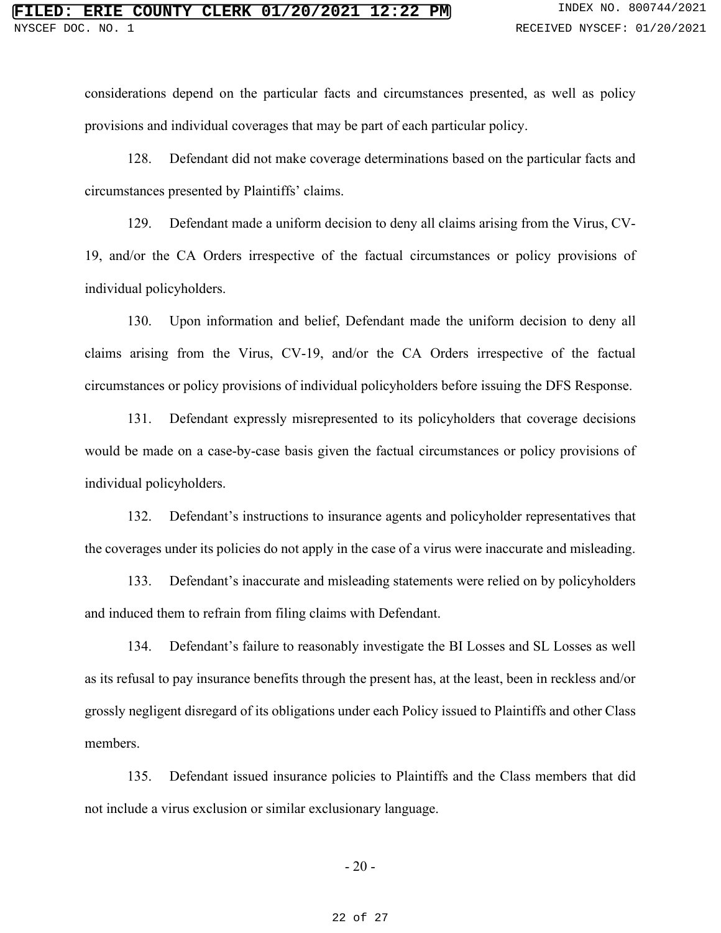considerations depend on the particular facts and circumstances presented, as well as policy provisions and individual coverages that may be part of each particular policy.

128. Defendant did not make coverage determinations based on the particular facts and circumstances presented by Plaintiffs' claims.

129. Defendant made a uniform decision to deny all claims arising from the Virus, CV-19, and/or the CA Orders irrespective of the factual circumstances or policy provisions of individual policyholders.

130. Upon information and belief, Defendant made the uniform decision to deny all claims arising from the Virus, CV-19, and/or the CA Orders irrespective of the factual circumstances or policy provisions of individual policyholders before issuing the DFS Response.

131. Defendant expressly misrepresented to its policyholders that coverage decisions would be made on a case-by-case basis given the factual circumstances or policy provisions of individual policyholders.

132. Defendant's instructions to insurance agents and policyholder representatives that the coverages under its policies do not apply in the case of a virus were inaccurate and misleading.

133. Defendant's inaccurate and misleading statements were relied on by policyholders and induced them to refrain from filing claims with Defendant.

134. Defendant's failure to reasonably investigate the BI Losses and SL Losses as well as its refusal to pay insurance benefits through the present has, at the least, been in reckless and/or grossly negligent disregard of its obligations under each Policy issued to Plaintiffs and other Class members.

135. Defendant issued insurance policies to Plaintiffs and the Class members that did not include a virus exclusion or similar exclusionary language.

- 20 -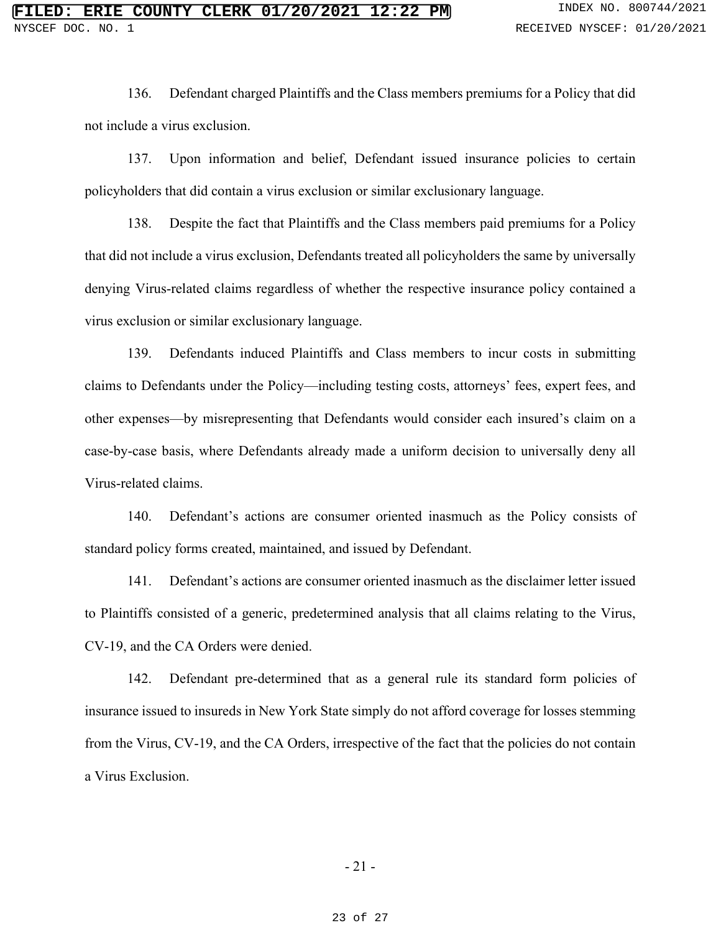136. Defendant charged Plaintiffs and the Class members premiums for a Policy that did not include a virus exclusion.

137. Upon information and belief, Defendant issued insurance policies to certain policyholders that did contain a virus exclusion or similar exclusionary language.

138. Despite the fact that Plaintiffs and the Class members paid premiums for a Policy that did not include a virus exclusion, Defendants treated all policyholders the same by universally denying Virus-related claims regardless of whether the respective insurance policy contained a virus exclusion or similar exclusionary language.

139. Defendants induced Plaintiffs and Class members to incur costs in submitting claims to Defendants under the Policy—including testing costs, attorneys' fees, expert fees, and other expenses—by misrepresenting that Defendants would consider each insured's claim on a case-by-case basis, where Defendants already made a uniform decision to universally deny all Virus-related claims.

140. Defendant's actions are consumer oriented inasmuch as the Policy consists of standard policy forms created, maintained, and issued by Defendant.

141. Defendant's actions are consumer oriented inasmuch as the disclaimer letter issued to Plaintiffs consisted of a generic, predetermined analysis that all claims relating to the Virus, CV-19, and the CA Orders were denied.

142. Defendant pre-determined that as a general rule its standard form policies of insurance issued to insureds in New York State simply do not afford coverage for losses stemming from the Virus, CV-19, and the CA Orders, irrespective of the fact that the policies do not contain a Virus Exclusion.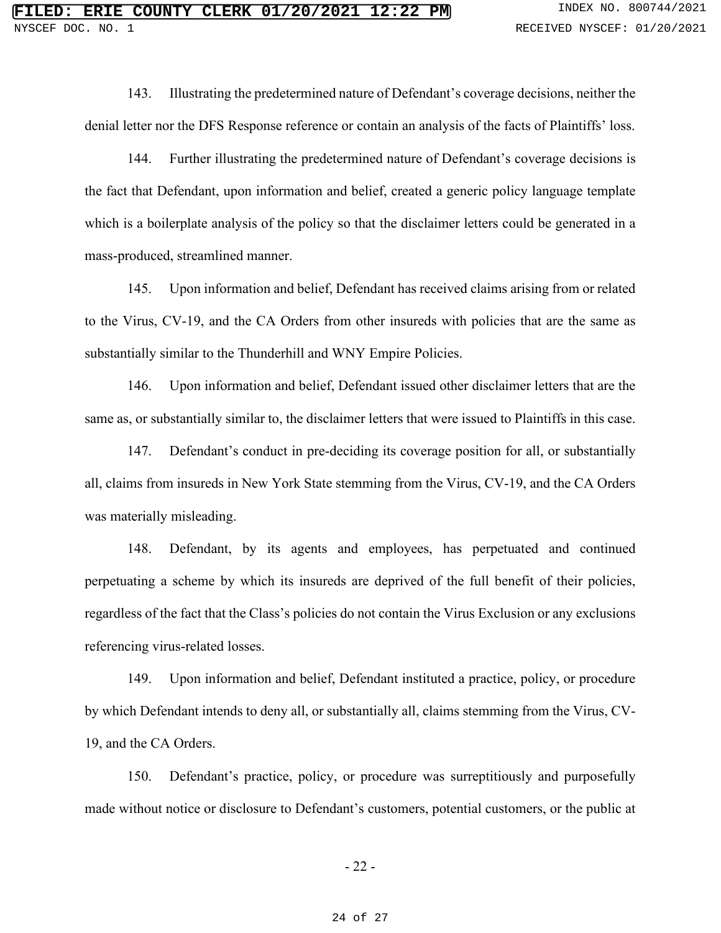143. Illustrating the predetermined nature of Defendant's coverage decisions, neither the denial letter nor the DFS Response reference or contain an analysis of the facts of Plaintiffs' loss.

144. Further illustrating the predetermined nature of Defendant's coverage decisions is the fact that Defendant, upon information and belief, created a generic policy language template which is a boilerplate analysis of the policy so that the disclaimer letters could be generated in a mass-produced, streamlined manner.

145. Upon information and belief, Defendant has received claims arising from or related to the Virus, CV-19, and the CA Orders from other insureds with policies that are the same as substantially similar to the Thunderhill and WNY Empire Policies.

146. Upon information and belief, Defendant issued other disclaimer letters that are the same as, or substantially similar to, the disclaimer letters that were issued to Plaintiffs in this case.

147. Defendant's conduct in pre-deciding its coverage position for all, or substantially all, claims from insureds in New York State stemming from the Virus, CV-19, and the CA Orders was materially misleading.

148. Defendant, by its agents and employees, has perpetuated and continued perpetuating a scheme by which its insureds are deprived of the full benefit of their policies, regardless of the fact that the Class's policies do not contain the Virus Exclusion or any exclusions referencing virus-related losses.

149. Upon information and belief, Defendant instituted a practice, policy, or procedure by which Defendant intends to deny all, or substantially all, claims stemming from the Virus, CV-19, and the CA Orders.

150. Defendant's practice, policy, or procedure was surreptitiously and purposefully made without notice or disclosure to Defendant's customers, potential customers, or the public at

- 22 -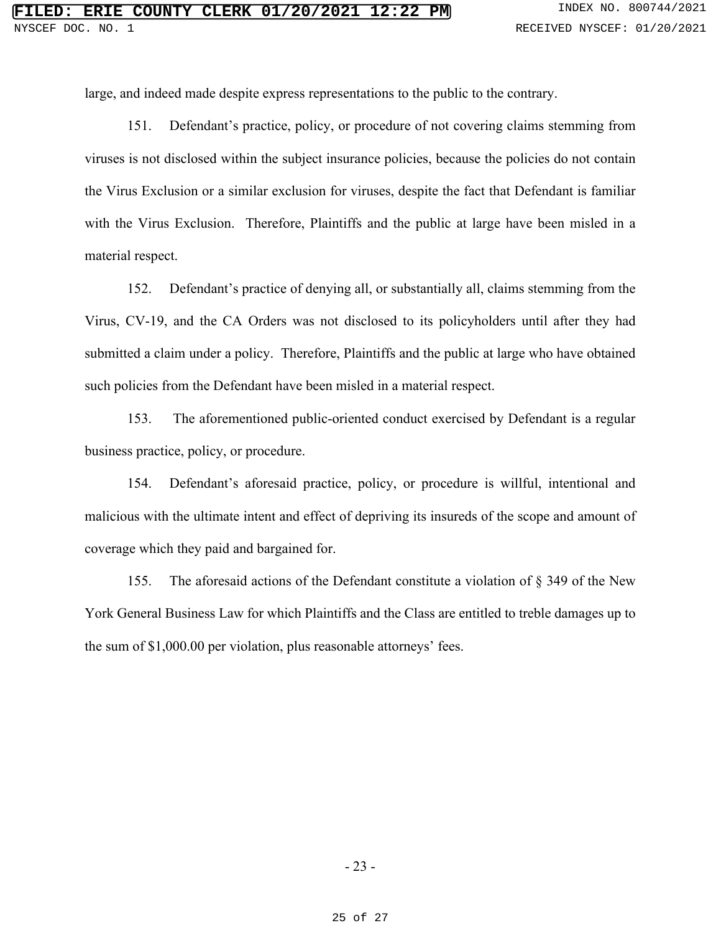large, and indeed made despite express representations to the public to the contrary.

151. Defendant's practice, policy, or procedure of not covering claims stemming from viruses is not disclosed within the subject insurance policies, because the policies do not contain the Virus Exclusion or a similar exclusion for viruses, despite the fact that Defendant is familiar with the Virus Exclusion. Therefore, Plaintiffs and the public at large have been misled in a material respect.

152. Defendant's practice of denying all, or substantially all, claims stemming from the Virus, CV-19, and the CA Orders was not disclosed to its policyholders until after they had submitted a claim under a policy. Therefore, Plaintiffs and the public at large who have obtained such policies from the Defendant have been misled in a material respect.

153. The aforementioned public-oriented conduct exercised by Defendant is a regular business practice, policy, or procedure.

154. Defendant's aforesaid practice, policy, or procedure is willful, intentional and malicious with the ultimate intent and effect of depriving its insureds of the scope and amount of coverage which they paid and bargained for.

155. The aforesaid actions of the Defendant constitute a violation of § 349 of the New York General Business Law for which Plaintiffs and the Class are entitled to treble damages up to the sum of \$1,000.00 per violation, plus reasonable attorneys' fees.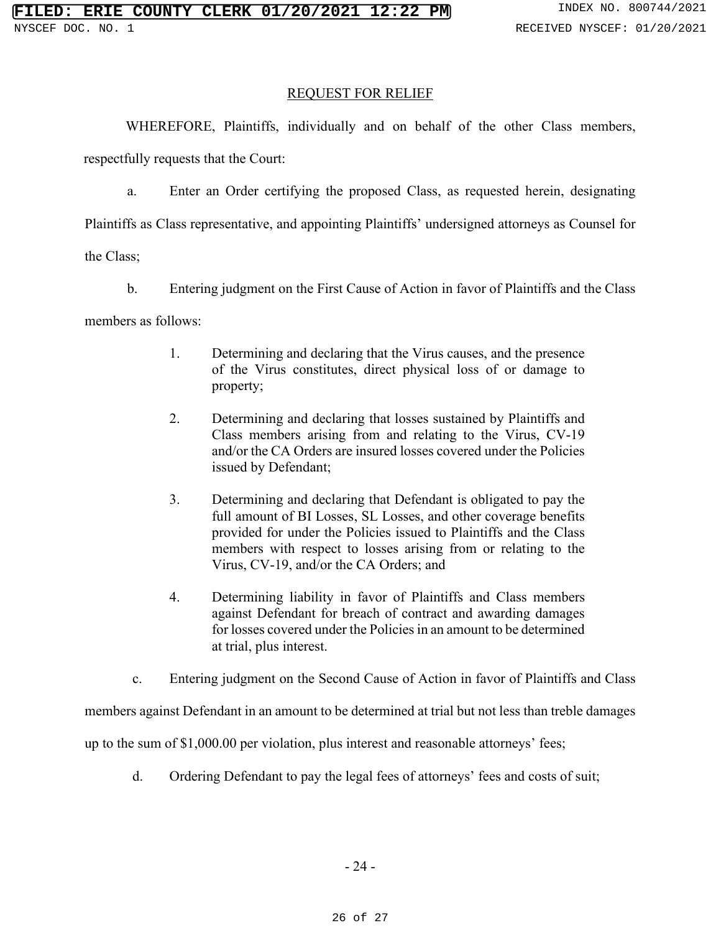### REQUEST FOR RELIEF

WHEREFORE, Plaintiffs, individually and on behalf of the other Class members,

respectfully requests that the Court:

a. Enter an Order certifying the proposed Class, as requested herein, designating

Plaintiffs as Class representative, and appointing Plaintiffs' undersigned attorneys as Counsel for

the Class;

- b. Entering judgment on the First Cause of Action in favor of Plaintiffs and the Class members as follows:
	- 1. Determining and declaring that the Virus causes, and the presence of the Virus constitutes, direct physical loss of or damage to property;
	- 2. Determining and declaring that losses sustained by Plaintiffs and Class members arising from and relating to the Virus, CV-19 and/or the CA Orders are insured losses covered under the Policies issued by Defendant;
	- 3. Determining and declaring that Defendant is obligated to pay the full amount of BI Losses, SL Losses, and other coverage benefits provided for under the Policies issued to Plaintiffs and the Class members with respect to losses arising from or relating to the Virus, CV-19, and/or the CA Orders; and
	- 4. Determining liability in favor of Plaintiffs and Class members against Defendant for breach of contract and awarding damages for losses covered under the Policies in an amount to be determined at trial, plus interest.
	- c. Entering judgment on the Second Cause of Action in favor of Plaintiffs and Class

members against Defendant in an amount to be determined at trial but not less than treble damages

up to the sum of \$1,000.00 per violation, plus interest and reasonable attorneys' fees;

d. Ordering Defendant to pay the legal fees of attorneys' fees and costs of suit;